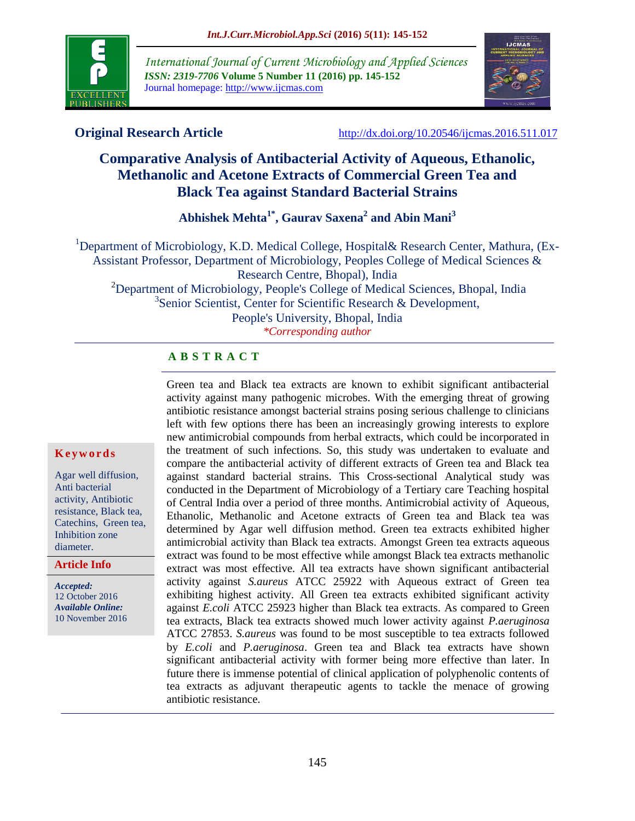

*International Journal of Current Microbiology and Applied Sciences ISSN: 2319-7706* **Volume 5 Number 11 (2016) pp. 145-152** Journal homepage: http://www.ijcmas.com



**Original Research Article** <http://dx.doi.org/10.20546/ijcmas.2016.511.017>

# **Comparative Analysis of Antibacterial Activity of Aqueous, Ethanolic, Methanolic and Acetone Extracts of Commercial Green Tea and Black Tea against Standard Bacterial Strains**

**Abhishek Mehta1\* , Gaurav Saxena<sup>2</sup> and Abin Mani<sup>3</sup>**

<sup>1</sup>Department of Microbiology, K.D. Medical College, Hospital& Research Center, Mathura, (Ex-Assistant Professor, Department of Microbiology, Peoples College of Medical Sciences & Research Centre, Bhopal), India <sup>2</sup>Department of Microbiology, People's College of Medical Sciences, Bhopal, India 3 Senior Scientist, Center for Scientific Research & Development, People's University, Bhopal, India *\*Corresponding author*

## **A B S T R A C T**

Green tea and Black tea extracts are known to exhibit significant antibacterial activity against many pathogenic microbes. With the emerging threat of growing antibiotic resistance amongst bacterial strains posing serious challenge to clinicians left with few options there has been an increasingly growing interests to explore new antimicrobial compounds from herbal extracts, which could be incorporated in the treatment of such infections. So, this study was undertaken to evaluate and compare the antibacterial activity of different extracts of Green tea and Black tea against standard bacterial strains. This Cross-sectional Analytical study was conducted in the Department of Microbiology of a Tertiary care Teaching hospital of Central India over a period of three months. Antimicrobial activity of Aqueous, Ethanolic, Methanolic and Acetone extracts of Green tea and Black tea was determined by Agar well diffusion method. Green tea extracts exhibited higher antimicrobial activity than Black tea extracts. Amongst Green tea extracts aqueous extract was found to be most effective while amongst Black tea extracts methanolic extract was most effective. All tea extracts have shown significant antibacterial activity against *S.aureus* ATCC 25922 with Aqueous extract of Green tea exhibiting highest activity. All Green tea extracts exhibited significant activity against *E.coli* ATCC 25923 higher than Black tea extracts. As compared to Green tea extracts, Black tea extracts showed much lower activity against *P.aeruginosa* ATCC 27853. *S.aureus* was found to be most susceptible to tea extracts followed by *E.coli* and *P.aeruginosa*. Green tea and Black tea extracts have shown significant antibacterial activity with former being more effective than later. In future there is immense potential of clinical application of polyphenolic contents of tea extracts as adjuvant therapeutic agents to tackle the menace of growing antibiotic resistance.

### **K e y w o r d s**

Agar well diffusion, Anti bacterial activity, Antibiotic resistance, Black tea, Catechins, Green tea, Inhibition zone diameter.

**Article Info**

*Accepted:*  12 October 2016 *Available Online:* 10 November 2016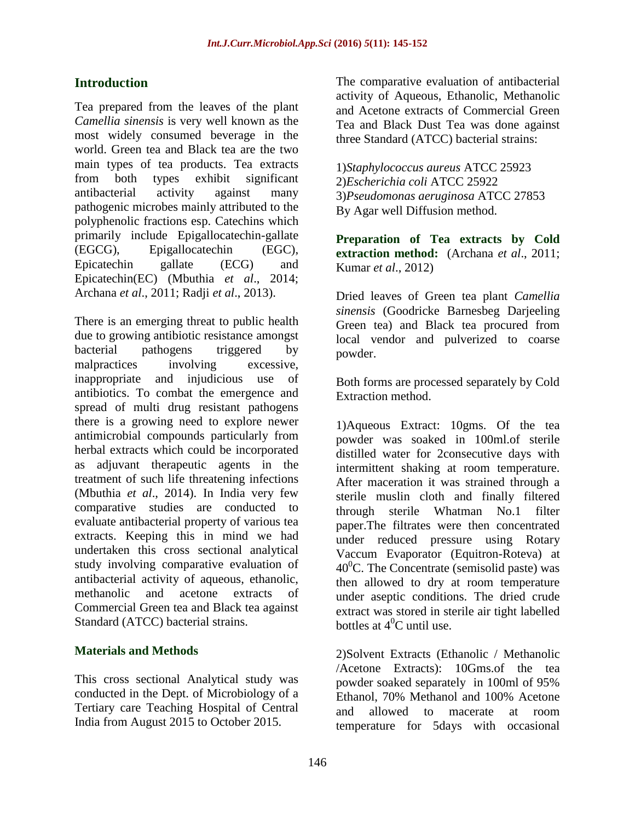## **Introduction**

Tea prepared from the leaves of the plant *Camellia sinensis* is very well known as the most widely consumed beverage in the world. Green tea and Black tea are the two main types of tea products. Tea extracts from both types exhibit significant antibacterial activity against many pathogenic microbes mainly attributed to the polyphenolic fractions esp. Catechins which primarily include Epigallocatechin-gallate (EGCG), Epigallocatechin (EGC), Epicatechin gallate (ECG) and Epicatechin(EC) (Mbuthia *et al*., 2014; Archana *et al*., 2011; Radji *et al*., 2013).

There is an emerging threat to public health due to growing antibiotic resistance amongst bacterial pathogens triggered by malpractices involving excessive, inappropriate and injudicious use of antibiotics. To combat the emergence and spread of multi drug resistant pathogens there is a growing need to explore newer antimicrobial compounds particularly from herbal extracts which could be incorporated as adjuvant therapeutic agents in the treatment of such life threatening infections (Mbuthia *et al*., 2014). In India very few comparative studies are conducted to evaluate antibacterial property of various tea extracts. Keeping this in mind we had undertaken this cross sectional analytical study involving comparative evaluation of antibacterial activity of aqueous, ethanolic, methanolic and acetone extracts of Commercial Green tea and Black tea against Standard (ATCC) bacterial strains.

## **Materials and Methods**

This cross sectional Analytical study was conducted in the Dept. of Microbiology of a Tertiary care Teaching Hospital of Central India from August 2015 to October 2015.

The comparative evaluation of antibacterial activity of Aqueous, Ethanolic, Methanolic and Acetone extracts of Commercial Green Tea and Black Dust Tea was done against three Standard (ATCC) bacterial strains:

1)*Staphylococcus aureus* ATCC 25923 2)*Escherichia coli* ATCC 25922 3)*Pseudomonas aeruginosa* ATCC 27853 By Agar well Diffusion method.

**Preparation of Tea extracts by Cold extraction method:** (Archana *et al*., 2011; Kumar *et al*., 2012)

Dried leaves of Green tea plant *Camellia sinensis* (Goodricke Barnesbeg Darjeeling Green tea) and Black tea procured from local vendor and pulverized to coarse powder.

Both forms are processed separately by Cold Extraction method.

1)Aqueous Extract: 10gms. Of the tea powder was soaked in 100ml.of sterile distilled water for 2consecutive days with intermittent shaking at room temperature. After maceration it was strained through a sterile muslin cloth and finally filtered through sterile Whatman No.1 filter paper.The filtrates were then concentrated under reduced pressure using Rotary Vaccum Evaporator (Equitron-Roteva) at  $40^{\circ}$ C. The Concentrate (semisolid paste) was then allowed to dry at room temperature under aseptic conditions. The dried crude extract was stored in sterile air tight labelled bottles at  $4^0C$  until use.

2)Solvent Extracts (Ethanolic / Methanolic /Acetone Extracts): 10Gms.of the tea powder soaked separately in 100ml of 95% Ethanol, 70% Methanol and 100% Acetone and allowed to macerate at room temperature for 5days with occasional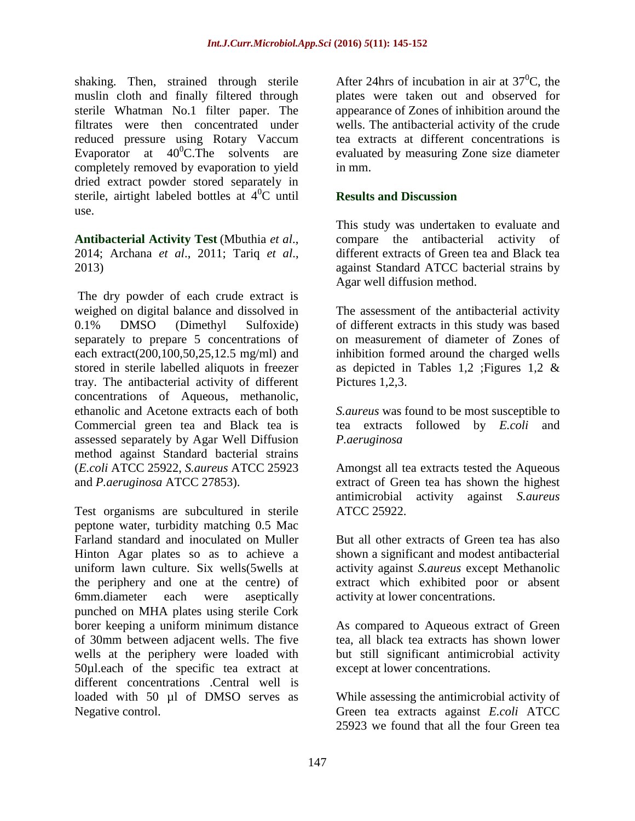shaking. Then, strained through sterile muslin cloth and finally filtered through sterile Whatman No.1 filter paper. The filtrates were then concentrated under reduced pressure using Rotary Vaccum Evaporator at  $40^{\circ}$ C.The solvents are completely removed by evaporation to yield dried extract powder stored separately in sterile, airtight labeled bottles at  $4^{0}C$  until use.

**Antibacterial Activity Test** (Mbuthia *et al*., 2014; Archana *et al*., 2011; Tariq *et al*., 2013)

The dry powder of each crude extract is weighed on digital balance and dissolved in 0.1% DMSO (Dimethyl Sulfoxide) separately to prepare 5 concentrations of each extract(200,100,50,25,12.5 mg/ml) and stored in sterile labelled aliquots in freezer tray. The antibacterial activity of different concentrations of Aqueous, methanolic, ethanolic and Acetone extracts each of both Commercial green tea and Black tea is assessed separately by Agar Well Diffusion method against Standard bacterial strains (*E.coli* ATCC 25922, *S.aureus* ATCC 25923 and *P.aeruginosa* ATCC 27853).

Test organisms are subcultured in sterile peptone water, turbidity matching 0.5 Mac Farland standard and inoculated on Muller Hinton Agar plates so as to achieve a uniform lawn culture. Six wells(5wells at the periphery and one at the centre) of 6mm.diameter each were aseptically punched on MHA plates using sterile Cork borer keeping a uniform minimum distance of 30mm between adjacent wells. The five wells at the periphery were loaded with 50µl.each of the specific tea extract at different concentrations .Central well is loaded with 50 µl of DMSO serves as Negative control.

After 24hrs of incubation in air at  $37^{\circ}$ C, the plates were taken out and observed for appearance of Zones of inhibition around the wells. The antibacterial activity of the crude tea extracts at different concentrations is evaluated by measuring Zone size diameter in mm.

### **Results and Discussion**

This study was undertaken to evaluate and compare the antibacterial activity of different extracts of Green tea and Black tea against Standard ATCC bacterial strains by Agar well diffusion method.

The assessment of the antibacterial activity of different extracts in this study was based on measurement of diameter of Zones of inhibition formed around the charged wells as depicted in Tables 1,2 ; Figures 1,2  $\&$ Pictures 1,2,3.

*S.aureus* was found to be most susceptible to tea extracts followed by *E.coli* and *P.aeruginosa*

Amongst all tea extracts tested the Aqueous extract of Green tea has shown the highest antimicrobial activity against *S.aureus* ATCC 25922.

But all other extracts of Green tea has also shown a significant and modest antibacterial activity against *S.aureus* except Methanolic extract which exhibited poor or absent activity at lower concentrations.

As compared to Aqueous extract of Green tea, all black tea extracts has shown lower but still significant antimicrobial activity except at lower concentrations.

While assessing the antimicrobial activity of Green tea extracts against *E.coli* ATCC 25923 we found that all the four Green tea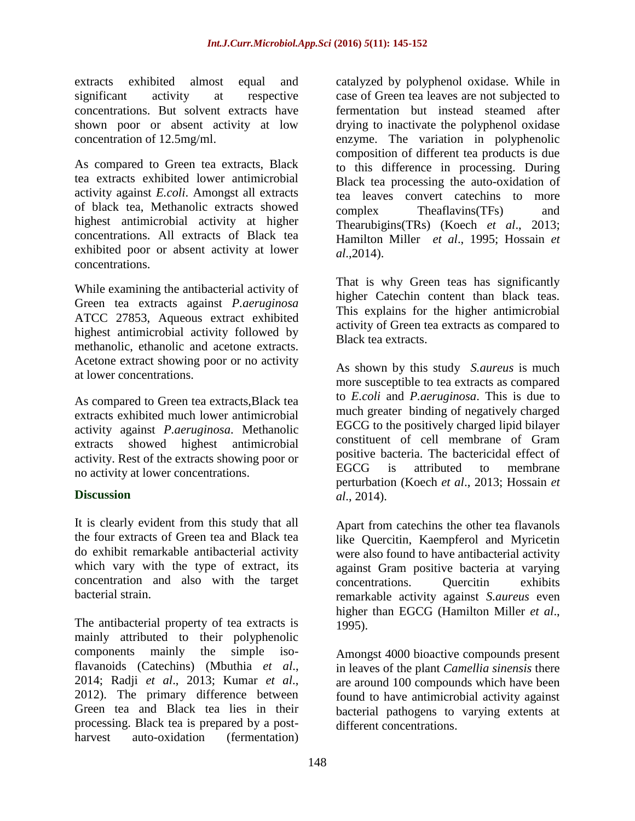extracts exhibited almost equal and significant activity at respective concentrations. But solvent extracts have shown poor or absent activity at low concentration of 12.5mg/ml.

As compared to Green tea extracts, Black tea extracts exhibited lower antimicrobial activity against *E.coli*. Amongst all extracts of black tea, Methanolic extracts showed highest antimicrobial activity at higher concentrations. All extracts of Black tea exhibited poor or absent activity at lower concentrations.

While examining the antibacterial activity of Green tea extracts against *P.aeruginosa* ATCC 27853, Aqueous extract exhibited highest antimicrobial activity followed by methanolic, ethanolic and acetone extracts. Acetone extract showing poor or no activity at lower concentrations.

As compared to Green tea extracts,Black tea extracts exhibited much lower antimicrobial activity against *P.aeruginosa*. Methanolic extracts showed highest antimicrobial activity. Rest of the extracts showing poor or no activity at lower concentrations.

### **Discussion**

It is clearly evident from this study that all the four extracts of Green tea and Black tea do exhibit remarkable antibacterial activity which vary with the type of extract, its concentration and also with the target bacterial strain.

The antibacterial property of tea extracts is mainly attributed to their polyphenolic components mainly the simple isoflavanoids (Catechins) (Mbuthia *et al*., 2014; Radji *et al*., 2013; Kumar *et al*., 2012). The primary difference between Green tea and Black tea lies in their processing. Black tea is prepared by a postharvest auto-oxidation (fermentation)

catalyzed by polyphenol oxidase. While in case of Green tea leaves are not subjected to fermentation but instead steamed after drying to inactivate the polyphenol oxidase enzyme. The variation in polyphenolic composition of different tea products is due to this difference in processing. During Black tea processing the auto-oxidation of tea leaves convert catechins to more complex Theaflavins(TFs) and Thearubigins(TRs) (Koech *et al*., 2013; Hamilton Miller *et al*., 1995; Hossain *et al*.,2014).

That is why Green teas has significantly higher Catechin content than black teas. This explains for the higher antimicrobial activity of Green tea extracts as compared to Black tea extracts.

As shown by this study *S.aureus* is much more susceptible to tea extracts as compared to *E.coli* and *P.aeruginosa*. This is due to much greater binding of negatively charged EGCG to the positively charged lipid bilayer constituent of cell membrane of Gram positive bacteria. The bactericidal effect of EGCG is attributed to membrane perturbation (Koech *et al*., 2013; Hossain *et al*., 2014).

Apart from catechins the other tea flavanols like Quercitin, Kaempferol and Myricetin were also found to have antibacterial activity against Gram positive bacteria at varying concentrations. Quercitin exhibits remarkable activity against *S.aureus* even higher than EGCG (Hamilton Miller *et al*., 1995).

Amongst 4000 bioactive compounds present in leaves of the plant *Camellia sinensis* there are around 100 compounds which have been found to have antimicrobial activity against bacterial pathogens to varying extents at different concentrations.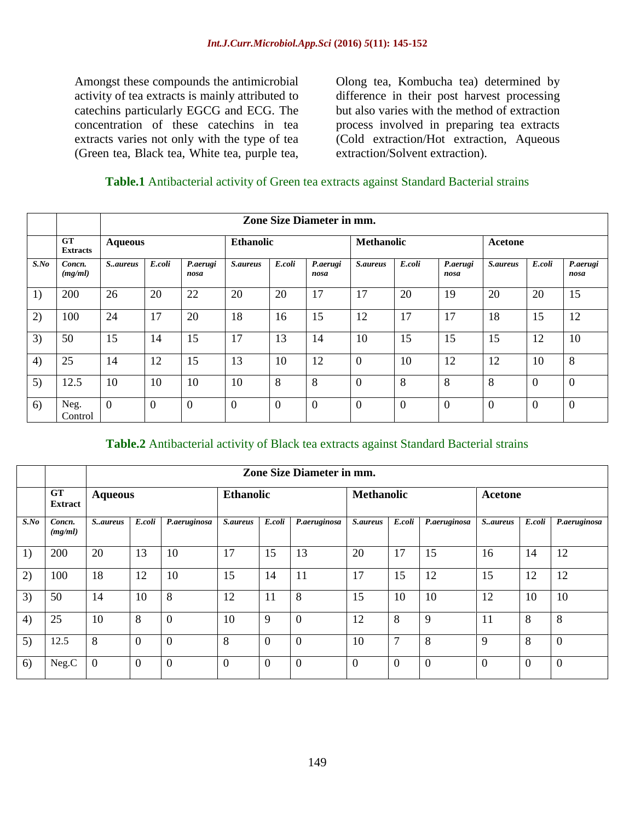Amongst these compounds the antimicrobial activity of tea extracts is mainly attributed to catechins particularly EGCG and ECG. The concentration of these catechins in tea extracts varies not only with the type of tea (Green tea, Black tea, White tea, purple tea,

Olong tea, Kombucha tea) determined by difference in their post harvest processing but also varies with the method of extraction process involved in preparing tea extracts (Cold extraction/Hot extraction, Aqueous extraction/Solvent extraction).

#### **Table.1** Antibacterial activity of Green tea extracts against Standard Bacterial strains

|         |                              | Zone Size Diameter in mm. |          |                  |                  |                |                  |                   |                |                  |                 |          |                  |
|---------|------------------------------|---------------------------|----------|------------------|------------------|----------------|------------------|-------------------|----------------|------------------|-----------------|----------|------------------|
|         | <b>GT</b><br><b>Extracts</b> | <b>Aqueous</b>            |          |                  | <b>Ethanolic</b> |                |                  | <b>Methanolic</b> |                |                  | Acetone         |          |                  |
| $S$ .No | Concn.<br>(mg/ml)            | S.aureus                  | E.coli   | P.aerugi<br>nosa | <i>S.aureus</i>  | E.coli         | P.aerugi<br>nosa | S.aureus          | E.coli         | P.aerugi<br>nosa | <b>S.aureus</b> | E.coli   | P.aerugi<br>nosa |
| 1)      | 200                          | 26                        | 20       | 22               | 20               | 20             | 17               | 17                | 20             | 19               | 20              | 20       | 15               |
| 2)      | 100                          | 24                        | 17       | 20               | 18               | 16             | 15               | 12                | 17             | 17               | 18              | 15       | 12               |
| 3)      | 50                           | 15                        | 14       | 15               | 17               | 13             | 14               | 10                | 15             | 15               | 15              | 12       | 10               |
| 4)      | 25                           | 14                        | 12       | 15               | 13               | 10             | 12               | $\overline{0}$    | 10             | 12               | 12              | 10       | 8                |
| 5)      | 12.5                         | 10                        | 10       | 10               | 10               | 8              | 8                | $\theta$          | 8              | 8                | 8               | $\theta$ | $\overline{0}$   |
| 6)      | Neg.<br>Control              | $\overline{0}$            | $\theta$ | $\overline{0}$   | $\overline{0}$   | $\overline{0}$ | $\theta$         | $\overline{0}$    | $\overline{0}$ | $\overline{0}$   | $\overline{0}$  | $\theta$ | $\overline{0}$   |

#### **Table.2** Antibacterial activity of Black tea extracts against Standard Bacterial strains

|         |                             | <b>Zone Size Diameter in mm.</b> |          |                |                  |                |                  |                   |                |                |                |          |              |
|---------|-----------------------------|----------------------------------|----------|----------------|------------------|----------------|------------------|-------------------|----------------|----------------|----------------|----------|--------------|
|         | <b>GT</b><br><b>Extract</b> | <b>Aqueous</b>                   |          |                | <b>Ethanolic</b> |                |                  | <b>Methanolic</b> |                |                | <b>Acetone</b> |          |              |
| $S$ .No | Concn.<br>(mg/ml)           | S.aureus                         | E.coli   | P.aeruginosa   | S.aureus         | E.coli         | P.aeruginosa     | S.aureus          | E.coli         | P.aeruginosa   | S., aureus     | E.coli   | P.aeruginosa |
| 1)      | 200                         | 20                               | 13       | 10             | 17               | 15             | 13               | 20                | 17             | 15             | 16             | 14       | 12           |
| 2)      | 100                         | 18                               | 12       | 10             | 15               | 14             | 11               | 17                | 15             | 12             | 15             | 12       | 12           |
| 3)      | 50                          | 14                               | 10       | 8              | 12               | 11             | 8                | 15                | 10             | 10             | 12             | 10       | 10           |
| 4)      | 25                          | 10                               | 8        | $\overline{0}$ | 10               | 9              | $\overline{0}$   | 12                | 8              | 9              | 11             | 8        | 8            |
| 5)      | 12.5                        | 8                                | $\Omega$ | $\overline{0}$ | 8                | $\overline{0}$ | $\Omega$         | 10                | 7              | 8              | 9              | 8        | $\theta$     |
| 6)      | Neg.C                       | $\Omega$                         | $\theta$ | $\overline{0}$ | $\theta$         | $\overline{0}$ | $\boldsymbol{0}$ | $\Omega$          | $\overline{0}$ | $\overline{0}$ | $\overline{0}$ | $\Omega$ | $\theta$     |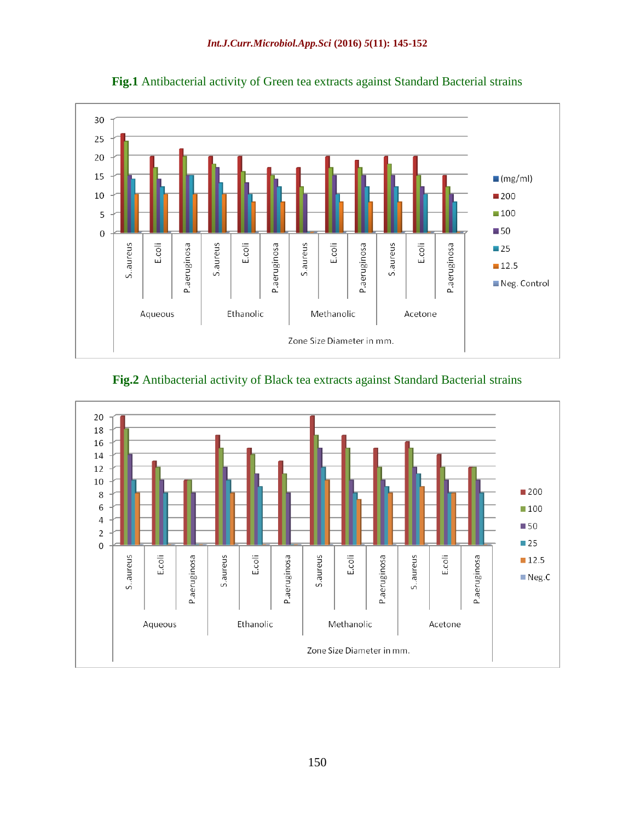





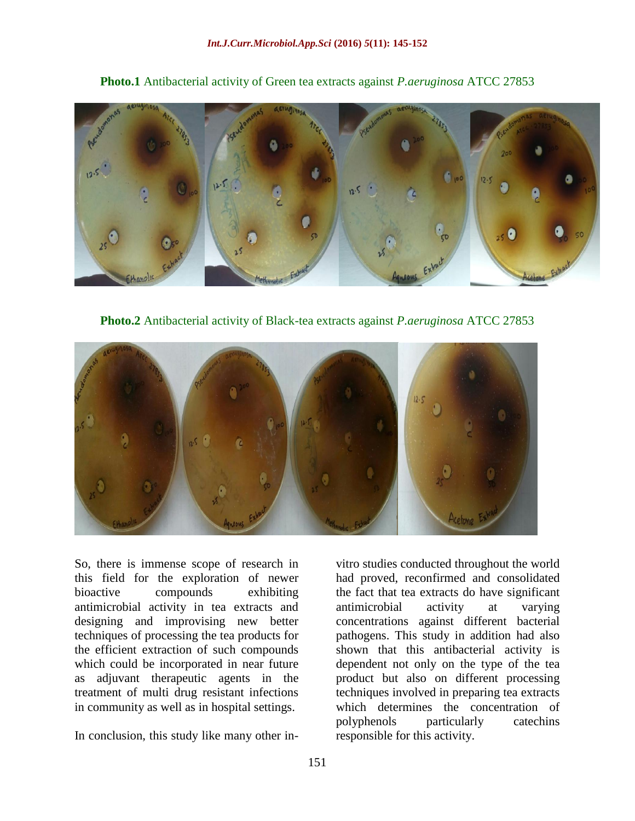

**Photo.1** Antibacterial activity of Green tea extracts against *P.aeruginosa* ATCC 27853

**Photo.2** Antibacterial activity of Black-tea extracts against *P.aeruginosa* ATCC 27853



So, there is immense scope of research in this field for the exploration of newer bioactive compounds exhibiting antimicrobial activity in tea extracts and designing and improvising new better techniques of processing the tea products for the efficient extraction of such compounds which could be incorporated in near future as adjuvant therapeutic agents in the treatment of multi drug resistant infections in community as well as in hospital settings.

In conclusion, this study like many other in-

vitro studies conducted throughout the world had proved, reconfirmed and consolidated the fact that tea extracts do have significant antimicrobial activity at varying concentrations against different bacterial pathogens. This study in addition had also shown that this antibacterial activity is dependent not only on the type of the tea product but also on different processing techniques involved in preparing tea extracts which determines the concentration of polyphenols particularly catechins responsible for this activity.